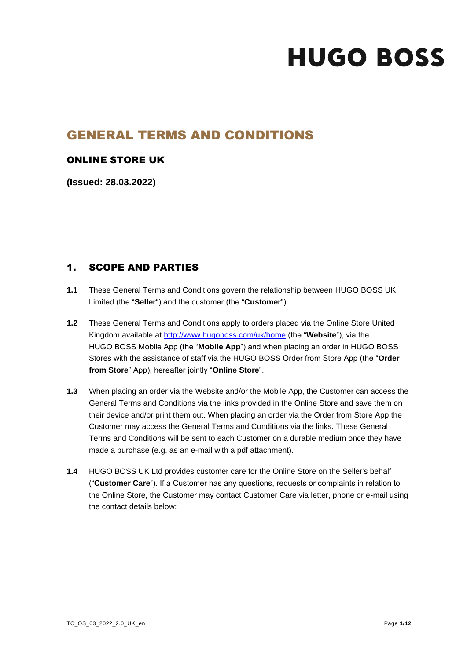# GENERAL TERMS AND CONDITIONS

## ONLINE STORE UK

**(Issued: 28.03.2022)**

## 1. SCOPE AND PARTIES

- **1.1** These General Terms and Conditions govern the relationship between HUGO BOSS UK Limited (the "**Seller**") and the customer (the "**Customer**").
- **1.2** These General Terms and Conditions apply to orders placed via the Online Store United Kingdom available at<http://www.hugoboss.com/uk/home> (the "**Website**"), via the HUGO BOSS Mobile App (the "**Mobile App**") and when placing an order in HUGO BOSS Stores with the assistance of staff via the HUGO BOSS Order from Store App (the "**Order from Store**" App), hereafter jointly "**Online Store**".
- **1.3** When placing an order via the Website and/or the Mobile App, the Customer can access the General Terms and Conditions via the links provided in the Online Store and save them on their device and/or print them out. When placing an order via the Order from Store App the Customer may access the General Terms and Conditions via the links. These General Terms and Conditions will be sent to each Customer on a durable medium once they have made a purchase (e.g. as an e-mail with a pdf attachment).
- **1.4** HUGO BOSS UK Ltd provides customer care for the Online Store on the Seller's behalf ("**Customer Care**"). If a Customer has any questions, requests or complaints in relation to the Online Store, the Customer may contact Customer Care via letter, phone or e-mail using the contact details below: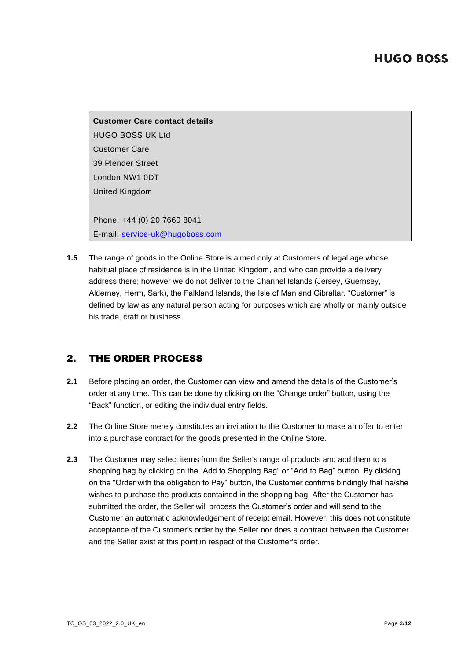**Customer Care contact details** HUGO BOSS UK Ltd Customer Care 39 Plender Street London NW1 0DT United Kingdom Phone: +44 (0) 20 7660 8041 E-mail: [service-uk@hugoboss.com](mailto:service-uk@hugoboss.com)

**1.5** The range of goods in the Online Store is aimed only at Customers of legal age whose habitual place of residence is in the United Kingdom, and who can provide a delivery address there; however we do not deliver to the Channel Islands (Jersey, Guernsey, Alderney, Herm, Sark), the Falkland Islands, the Isle of Man and Gibraltar. "Customer" is defined by law as any natural person acting for purposes which are wholly or mainly outside his trade, craft or business.

## 2. THE ORDER PROCESS

- **2.1** Before placing an order, the Customer can view and amend the details of the Customer's order at any time. This can be done by clicking on the "Change order" button, using the "Back" function, or editing the individual entry fields.
- **2.2** The Online Store merely constitutes an invitation to the Customer to make an offer to enter into a purchase contract for the goods presented in the Online Store.
- **2.3** The Customer may select items from the Seller's range of products and add them to a shopping bag by clicking on the "Add to Shopping Bag" or "Add to Bag" button. By clicking on the "Order with the obligation to Pay" button, the Customer confirms bindingly that he/she wishes to purchase the products contained in the shopping bag. After the Customer has submitted the order, the Seller will process the Customer's order and will send to the Customer an automatic acknowledgement of receipt email. However, this does not constitute acceptance of the Customer's order by the Seller nor does a contract between the Customer and the Seller exist at this point in respect of the Customer's order.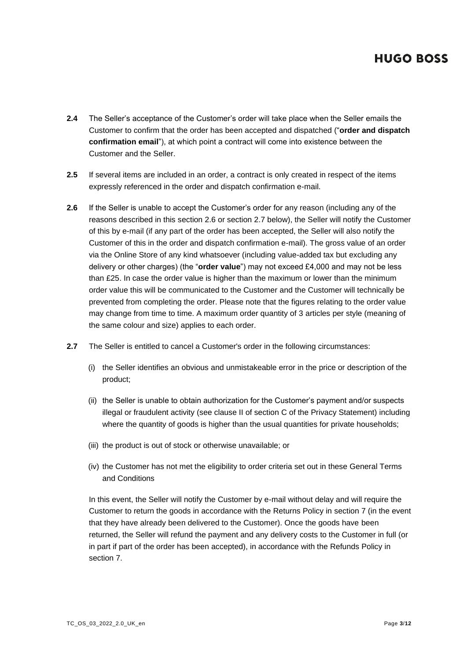- **2.4** The Seller's acceptance of the Customer's order will take place when the Seller emails the Customer to confirm that the order has been accepted and dispatched ("**order and dispatch confirmation email**"), at which point a contract will come into existence between the Customer and the Seller.
- **2.5** If several items are included in an order, a contract is only created in respect of the items expressly referenced in the order and dispatch confirmation e-mail.
- **2.6** If the Seller is unable to accept the Customer's order for any reason (including any of the reasons described in this section 2.6 or section 2.7 below), the Seller will notify the Customer of this by e-mail (if any part of the order has been accepted, the Seller will also notify the Customer of this in the order and dispatch confirmation e-mail). The gross value of an order via the Online Store of any kind whatsoever (including value-added tax but excluding any delivery or other charges) (the "**order value**") may not exceed £4,000 and may not be less than £25. In case the order value is higher than the maximum or lower than the minimum order value this will be communicated to the Customer and the Customer will technically be prevented from completing the order. Please note that the figures relating to the order value may change from time to time. A maximum order quantity of 3 articles per style (meaning of the same colour and size) applies to each order.
- **2.7** The Seller is entitled to cancel a Customer's order in the following circumstances:
	- (i) the Seller identifies an obvious and unmistakeable error in the price or description of the product;
	- (ii) the Seller is unable to obtain authorization for the Customer's payment and/or suspects illegal or fraudulent activity (see clause II of section C of the Privacy Statement) including where the quantity of goods is higher than the usual quantities for private households;
	- (iii) the product is out of stock or otherwise unavailable; or
	- (iv) the Customer has not met the eligibility to order criteria set out in these General Terms and Conditions

In this event, the Seller will notify the Customer by e-mail without delay and will require the Customer to return the goods in accordance with the Returns Policy in section 7 (in the event that they have already been delivered to the Customer). Once the goods have been returned, the Seller will refund the payment and any delivery costs to the Customer in full (or in part if part of the order has been accepted), in accordance with the Refunds Policy in section 7.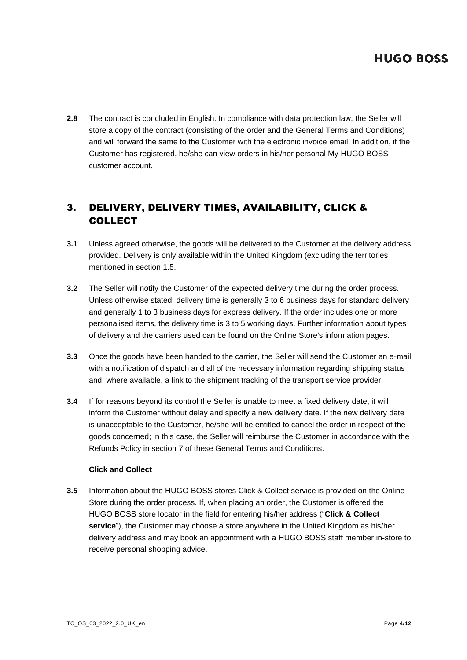**2.8** The contract is concluded in English. In compliance with data protection law, the Seller will store a copy of the contract (consisting of the order and the General Terms and Conditions) and will forward the same to the Customer with the electronic invoice email. In addition, if the Customer has registered, he/she can view orders in his/her personal My HUGO BOSS customer account.

## 3. DELIVERY, DELIVERY TIMES, AVAILABILITY, CLICK & COLLECT

- **3.1** Unless agreed otherwise, the goods will be delivered to the Customer at the delivery address provided. Delivery is only available within the United Kingdom (excluding the territories mentioned in section 1.5.
- **3.2** The Seller will notify the Customer of the expected delivery time during the order process. Unless otherwise stated, delivery time is generally 3 to 6 business days for standard delivery and generally 1 to 3 business days for express delivery. If the order includes one or more personalised items, the delivery time is 3 to 5 working days. Further information about types of delivery and the carriers used can be found on the Online Store's information pages.
- **3.3** Once the goods have been handed to the carrier, the Seller will send the Customer an e-mail with a notification of dispatch and all of the necessary information regarding shipping status and, where available, a link to the shipment tracking of the transport service provider.
- **3.4** If for reasons beyond its control the Seller is unable to meet a fixed delivery date, it will inform the Customer without delay and specify a new delivery date. If the new delivery date is unacceptable to the Customer, he/she will be entitled to cancel the order in respect of the goods concerned; in this case, the Seller will reimburse the Customer in accordance with the Refunds Policy in section 7 of these General Terms and Conditions.

#### **Click and Collect**

**3.5** Information about the HUGO BOSS stores Click & Collect service is provided on the Online Store during the order process. If, when placing an order, the Customer is offered the HUGO BOSS store locator in the field for entering his/her address ("**Click & Collect service**"), the Customer may choose a store anywhere in the United Kingdom as his/her delivery address and may book an appointment with a HUGO BOSS staff member in-store to receive personal shopping advice.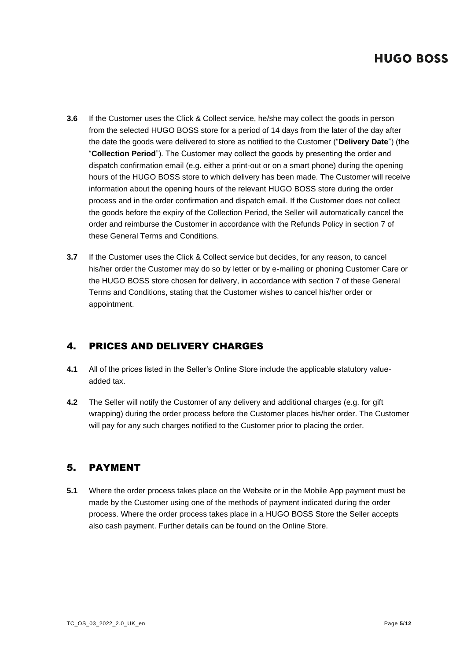- **3.6** If the Customer uses the Click & Collect service, he/she may collect the goods in person from the selected HUGO BOSS store for a period of 14 days from the later of the day after the date the goods were delivered to store as notified to the Customer ("**Delivery Date**") (the "**Collection Period**"). The Customer may collect the goods by presenting the order and dispatch confirmation email (e.g. either a print-out or on a smart phone) during the opening hours of the HUGO BOSS store to which delivery has been made. The Customer will receive information about the opening hours of the relevant HUGO BOSS store during the order process and in the order confirmation and dispatch email. If the Customer does not collect the goods before the expiry of the Collection Period, the Seller will automatically cancel the order and reimburse the Customer in accordance with the Refunds Policy in section 7 of these General Terms and Conditions.
- **3.7** If the Customer uses the Click & Collect service but decides, for any reason, to cancel his/her order the Customer may do so by letter or by e-mailing or phoning Customer Care or the HUGO BOSS store chosen for delivery, in accordance with section 7 of these General Terms and Conditions, stating that the Customer wishes to cancel his/her order or appointment.

## 4. PRICES AND DELIVERY CHARGES

- **4.1** All of the prices listed in the Seller's Online Store include the applicable statutory valueadded tax.
- **4.2** The Seller will notify the Customer of any delivery and additional charges (e.g. for gift wrapping) during the order process before the Customer places his/her order. The Customer will pay for any such charges notified to the Customer prior to placing the order.

## 5. PAYMENT

**5.1** Where the order process takes place on the Website or in the Mobile App payment must be made by the Customer using one of the methods of payment indicated during the order process. Where the order process takes place in a HUGO BOSS Store the Seller accepts also cash payment. Further details can be found on the Online Store.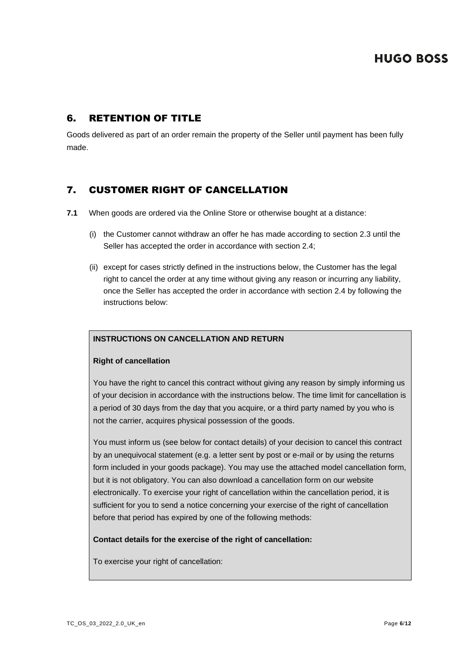## 6. RETENTION OF TITLE

Goods delivered as part of an order remain the property of the Seller until payment has been fully made.

## 7. CUSTOMER RIGHT OF CANCELLATION

- **7.1** When goods are ordered via the Online Store or otherwise bought at a distance:
	- (i) the Customer cannot withdraw an offer he has made according to section 2.3 until the Seller has accepted the order in accordance with section 2.4;
	- (ii) except for cases strictly defined in the instructions below, the Customer has the legal right to cancel the order at any time without giving any reason or incurring any liability, once the Seller has accepted the order in accordance with section 2.4 by following the instructions below:

#### **INSTRUCTIONS ON CANCELLATION AND RETURN**

#### **Right of cancellation**

You have the right to cancel this contract without giving any reason by simply informing us of your decision in accordance with the instructions below. The time limit for cancellation is a period of 30 days from the day that you acquire, or a third party named by you who is not the carrier, acquires physical possession of the goods.

You must inform us (see below for contact details) of your decision to cancel this contract by an unequivocal statement (e.g. a letter sent by post or e-mail or by using the returns form included in your goods package). You may use the attached model cancellation form, but it is not obligatory. You can also download a cancellation form on our website electronically. To exercise your right of cancellation within the cancellation period, it is sufficient for you to send a notice concerning your exercise of the right of cancellation before that period has expired by one of the following methods:

#### **Contact details for the exercise of the right of cancellation:**

To exercise your right of cancellation: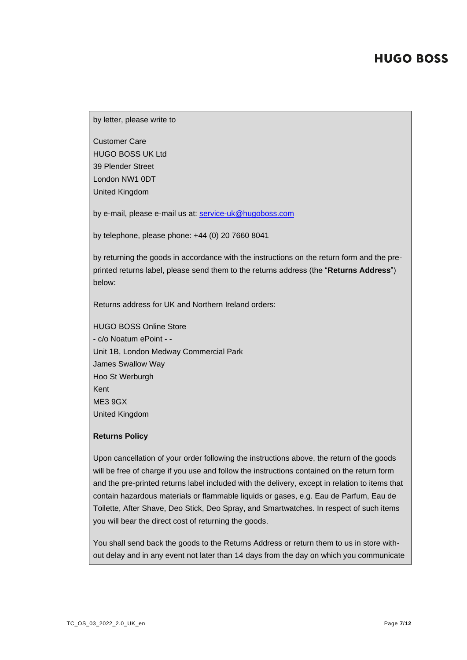by letter, please write to

Customer Care HUGO BOSS UK Ltd 39 Plender Street London NW1 0DT United Kingdom

by e-mail, please e-mail us at: [service-uk@hugoboss.com](mailto:service-uk@hugoboss.com)

by telephone, please phone: +44 (0) 20 7660 8041

by returning the goods in accordance with the instructions on the return form and the preprinted returns label, please send them to the returns address (the "**Returns Address**") below:

Returns address for UK and Northern Ireland orders:

HUGO BOSS Online Store - c/o Noatum ePoint - - Unit 1B, London Medway Commercial Park James Swallow Way Hoo St Werburgh Kent ME3 9GX United Kingdom

#### **Returns Policy**

Upon cancellation of your order following the instructions above, the return of the goods will be free of charge if you use and follow the instructions contained on the return form and the pre-printed returns label included with the delivery, except in relation to items that contain hazardous materials or flammable liquids or gases, e.g. Eau de Parfum, Eau de Toilette, After Shave, Deo Stick, Deo Spray, and Smartwatches. In respect of such items you will bear the direct cost of returning the goods.

You shall send back the goods to the Returns Address or return them to us in store without delay and in any event not later than 14 days from the day on which you communicate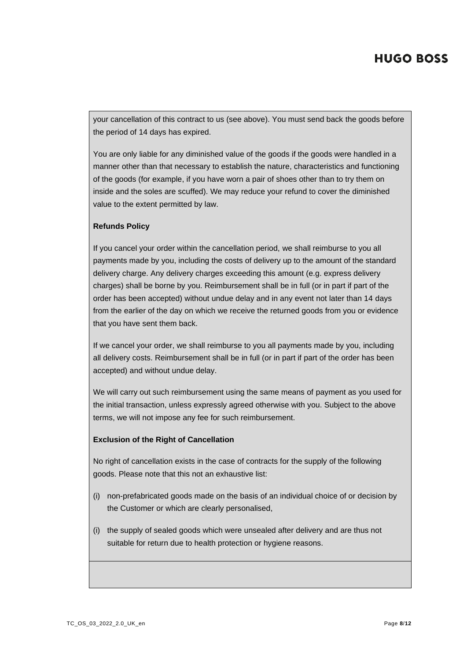your cancellation of this contract to us (see above). You must send back the goods before the period of 14 days has expired.

You are only liable for any diminished value of the goods if the goods were handled in a manner other than that necessary to establish the nature, characteristics and functioning of the goods (for example, if you have worn a pair of shoes other than to try them on inside and the soles are scuffed). We may reduce your refund to cover the diminished value to the extent permitted by law.

#### **Refunds Policy**

If you cancel your order within the cancellation period, we shall reimburse to you all payments made by you, including the costs of delivery up to the amount of the standard delivery charge. Any delivery charges exceeding this amount (e.g. express delivery charges) shall be borne by you. Reimbursement shall be in full (or in part if part of the order has been accepted) without undue delay and in any event not later than 14 days from the earlier of the day on which we receive the returned goods from you or evidence that you have sent them back.

If we cancel your order, we shall reimburse to you all payments made by you, including all delivery costs. Reimbursement shall be in full (or in part if part of the order has been accepted) and without undue delay.

We will carry out such reimbursement using the same means of payment as you used for the initial transaction, unless expressly agreed otherwise with you. Subject to the above terms, we will not impose any fee for such reimbursement.

#### **Exclusion of the Right of Cancellation**

No right of cancellation exists in the case of contracts for the supply of the following goods. Please note that this not an exhaustive list:

- (i) non-prefabricated goods made on the basis of an individual choice of or decision by the Customer or which are clearly personalised,
- (i) the supply of sealed goods which were unsealed after delivery and are thus not suitable for return due to health protection or hygiene reasons.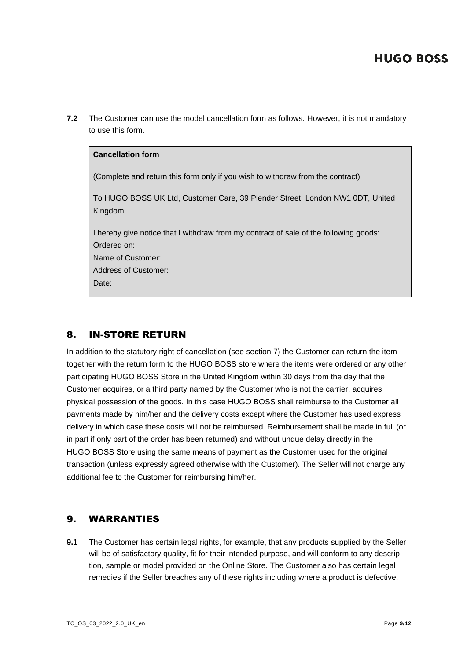**7.2** The Customer can use the model cancellation form as follows. However, it is not mandatory to use this form.

#### **Cancellation form**

(Complete and return this form only if you wish to withdraw from the contract)

To HUGO BOSS UK Ltd, Customer Care, 39 Plender Street, London NW1 0DT, United Kingdom

I hereby give notice that I withdraw from my contract of sale of the following goods: Ordered on:

Name of Customer:

Address of Customer:

Date:

## 8. IN-STORE RETURN

In addition to the statutory right of cancellation (see section 7) the Customer can return the item together with the return form to the HUGO BOSS store where the items were ordered or any other participating HUGO BOSS Store in the United Kingdom within 30 days from the day that the Customer acquires, or a third party named by the Customer who is not the carrier, acquires physical possession of the goods. In this case HUGO BOSS shall reimburse to the Customer all payments made by him/her and the delivery costs except where the Customer has used express delivery in which case these costs will not be reimbursed. Reimbursement shall be made in full (or in part if only part of the order has been returned) and without undue delay directly in the HUGO BOSS Store using the same means of payment as the Customer used for the original transaction (unless expressly agreed otherwise with the Customer). The Seller will not charge any additional fee to the Customer for reimbursing him/her.

## 9. WARRANTIES

**9.1** The Customer has certain legal rights, for example, that any products supplied by the Seller will be of satisfactory quality, fit for their intended purpose, and will conform to any description, sample or model provided on the Online Store. The Customer also has certain legal remedies if the Seller breaches any of these rights including where a product is defective.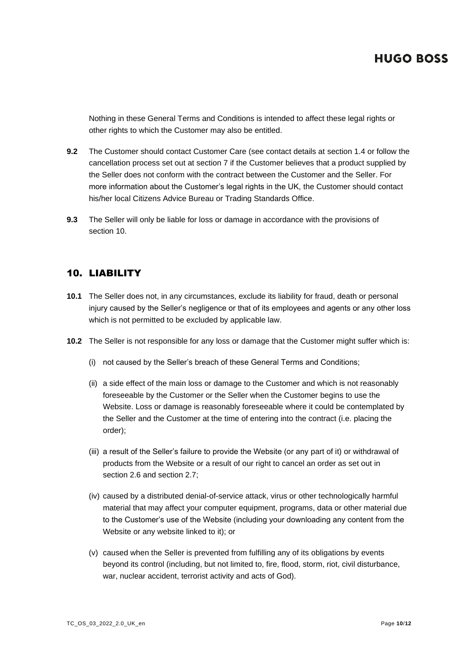Nothing in these General Terms and Conditions is intended to affect these legal rights or other rights to which the Customer may also be entitled.

- **9.2** The Customer should contact Customer Care (see contact details at section 1.4 or follow the cancellation process set out at section 7 if the Customer believes that a product supplied by the Seller does not conform with the contract between the Customer and the Seller. For more information about the Customer's legal rights in the UK, the Customer should contact his/her local Citizens Advice Bureau or Trading Standards Office.
- **9.3** The Seller will only be liable for loss or damage in accordance with the provisions of section 10.

## 10. LIABILITY

- **10.1** The Seller does not, in any circumstances, exclude its liability for fraud, death or personal injury caused by the Seller's negligence or that of its employees and agents or any other loss which is not permitted to be excluded by applicable law.
- **10.2** The Seller is not responsible for any loss or damage that the Customer might suffer which is:
	- (i) not caused by the Seller's breach of these General Terms and Conditions;
	- (ii) a side effect of the main loss or damage to the Customer and which is not reasonably foreseeable by the Customer or the Seller when the Customer begins to use the Website. Loss or damage is reasonably foreseeable where it could be contemplated by the Seller and the Customer at the time of entering into the contract (i.e. placing the order);
	- (iii) a result of the Seller's failure to provide the Website (or any part of it) or withdrawal of products from the Website or a result of our right to cancel an order as set out in section 2.6 and section 2.7;
	- (iv) caused by a distributed denial-of-service attack, virus or other technologically harmful material that may affect your computer equipment, programs, data or other material due to the Customer's use of the Website (including your downloading any content from the Website or any website linked to it); or
	- (v) caused when the Seller is prevented from fulfilling any of its obligations by events beyond its control (including, but not limited to, fire, flood, storm, riot, civil disturbance, war, nuclear accident, terrorist activity and acts of God).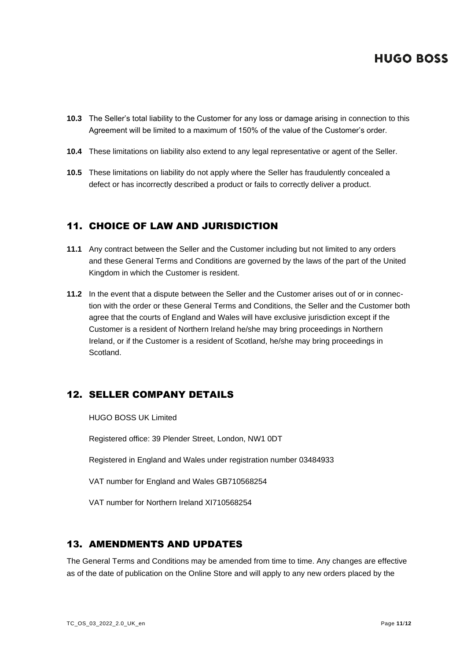- **10.3** The Seller's total liability to the Customer for any loss or damage arising in connection to this Agreement will be limited to a maximum of 150% of the value of the Customer's order.
- **10.4** These limitations on liability also extend to any legal representative or agent of the Seller.
- **10.5** These limitations on liability do not apply where the Seller has fraudulently concealed a defect or has incorrectly described a product or fails to correctly deliver a product.

## 11. CHOICE OF LAW AND JURISDICTION

- **11.1** Any contract between the Seller and the Customer including but not limited to any orders and these General Terms and Conditions are governed by the laws of the part of the United Kingdom in which the Customer is resident.
- **11.2** In the event that a dispute between the Seller and the Customer arises out of or in connection with the order or these General Terms and Conditions, the Seller and the Customer both agree that the courts of England and Wales will have exclusive jurisdiction except if the Customer is a resident of Northern Ireland he/she may bring proceedings in Northern Ireland, or if the Customer is a resident of Scotland, he/she may bring proceedings in Scotland.

## 12. SELLER COMPANY DETAILS

HUGO BOSS UK Limited

Registered office: 39 Plender Street, London, NW1 0DT

Registered in England and Wales under registration number 03484933

VAT number for England and Wales GB710568254

VAT number for Northern Ireland XI710568254

## 13. AMENDMENTS AND UPDATES

The General Terms and Conditions may be amended from time to time. Any changes are effective as of the date of publication on the Online Store and will apply to any new orders placed by the